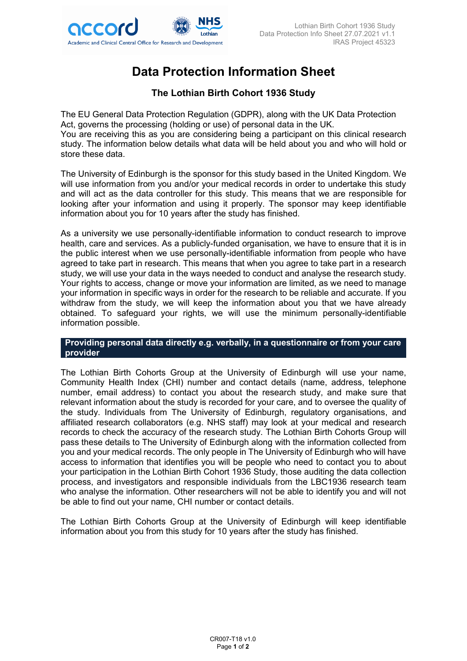

# **Data Protection Information Sheet**

## **The Lothian Birth Cohort 1936 Study**

The EU General Data Protection Regulation (GDPR), along with the UK Data Protection Act, governs the processing (holding or use) of personal data in the UK. You are receiving this as you are considering being a participant on this clinical research study. The information below details what data will be held about you and who will hold or store these data.

The University of Edinburgh is the sponsor for this study based in the United Kingdom. We will use information from you and/or your medical records in order to undertake this study and will act as the data controller for this study. This means that we are responsible for looking after your information and using it properly. The sponsor may keep identifiable information about you for 10 years after the study has finished.

As a university we use personally-identifiable information to conduct research to improve health, care and services. As a publicly-funded organisation, we have to ensure that it is in the public interest when we use personally-identifiable information from people who have agreed to take part in research. This means that when you agree to take part in a research study, we will use your data in the ways needed to conduct and analyse the research study. Your rights to access, change or move your information are limited, as we need to manage your information in specific ways in order for the research to be reliable and accurate. If you withdraw from the study, we will keep the information about you that we have already obtained. To safeguard your rights, we will use the minimum personally-identifiable information possible.

#### **Providing personal data directly e.g. verbally, in a questionnaire or from your care provider**

The Lothian Birth Cohorts Group at the University of Edinburgh will use your name, Community Health Index (CHI) number and contact details (name, address, telephone number, email address) to contact you about the research study, and make sure that relevant information about the study is recorded for your care, and to oversee the quality of the study. Individuals from The University of Edinburgh, regulatory organisations, and affiliated research collaborators (e.g. NHS staff) may look at your medical and research records to check the accuracy of the research study. The Lothian Birth Cohorts Group will pass these details to The University of Edinburgh along with the information collected from you and your medical records. The only people in The University of Edinburgh who will have access to information that identifies you will be people who need to contact you to about your participation in the Lothian Birth Cohort 1936 Study, those auditing the data collection process, and investigators and responsible individuals from the LBC1936 research team who analyse the information. Other researchers will not be able to identify you and will not be able to find out your name, CHI number or contact details.

The Lothian Birth Cohorts Group at the University of Edinburgh will keep identifiable information about you from this study for 10 years after the study has finished.